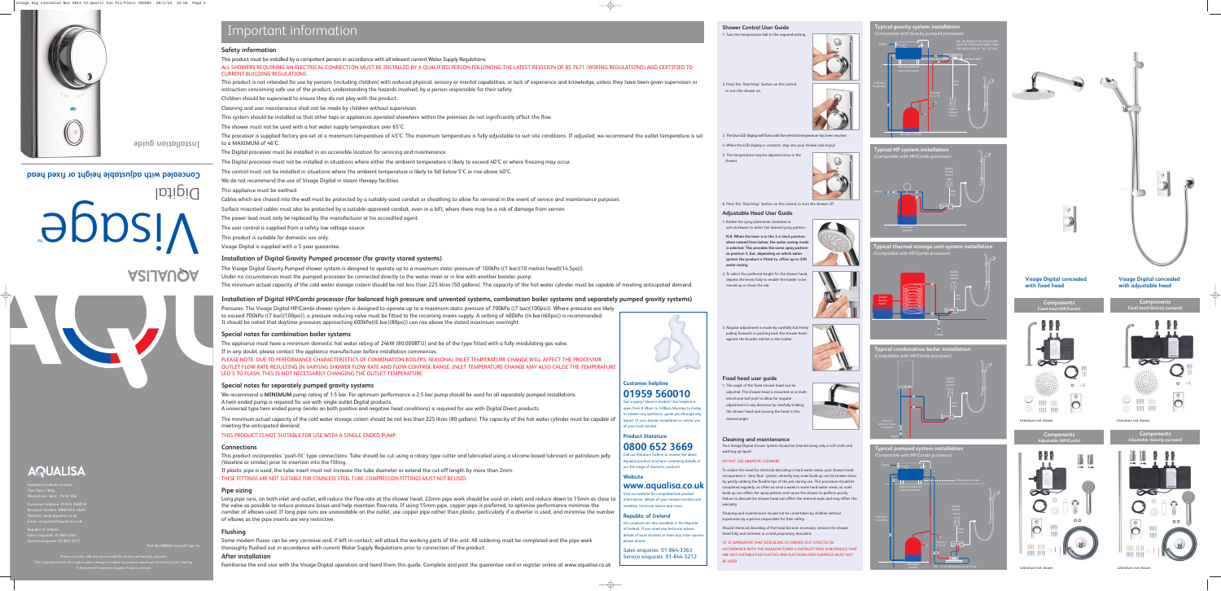### **Shower Control User Guide**

1. Turn the temperature dial to the required setting.





to turn the shower on.

3. The blue LED display will flash until the selected temperature has been reached.

4. When the LED display is constant, step into your shower and enjoy!

5. The temperature may be adjusted once in the shower.



6. Press the 'Start/stop' button on the control, to turn the shower off.

### **Adjustable Head User Guide**

1. Rotate the spray plate lever clockwise or anti-clockwise to select the desired spray pattern.

**N.B. When the lever is in the 3 o'clock position when viewed from below, the water saving mode is selected. This provides the same spray pattern as position 3, but, depending on which water system the product is fitted to, offers up to 25% water saving.**

2. To select the preferred height for the shower head, depress the levers fully to enable the holder to be moved up or down the rail.



3. Angular adjustment is made by carefully but firmly pulling forwards or pushing back the shower head against the knuckle ratchet in the holder.



### **Fixed head user guide**

Aqualisa Products Limited ie Flyer's Way Vesterham Kent TN16 1DE

د<br>Customer helpline: 01959 560 Brochure Hotline: 0800 652 3669 Website: www.aqualisa.co.uk mail: enquiries@aqualisa.co

epublic of Ireland ales enquiries: 01-864- $\frac{1}{2}$  rvice enquiries: 01-844-32 1. The angle of the fixed shower head can be adjusted. The shower head is mounted on a multi directional ball joint to allow for angular adjustment in any direction by carefully holding the shower head and moving the head to the desired angle.



### **Cleaning and maintenance**

Your Visage Digital shower system should be cleaned using only a soft cloth and washing up liquid.

Please note that calls may be recorded for training and quality purpose The company reserves the right to alternative the right to alter, change or modify the product specifications without prior war ® Registered Trademark Aqualisa Products Limited

### DO NOT USE ABRASIVE CLEANERS

To reduce the need for chemical descaling in hard water areas, your shower head incorporates a 'clear flow' system, whereby any scale build up can be broken down by gently rubbing the flexible tips of the jets during use. This procedure should be completed regularly, as often as once a week in some hard water areas, as scale build up can affect the spray pattern and cause the shower to perform poorly. Failure to descale the shower head can affect the internal seals and may affect the warranty.

Cleaning and maintenance should not be undertaken by children without supervision by a person responsible for their safety.

Should chemical descaling of the head become necessary, remove the shower head fully and immerse in a mild proprietary descalent.

!IT IS IMPERATIVE THAT DESCALING IS CARRIED OUT STRICTLY IN ACCORDANCE WITH THE MANUFACTURER'S INSTRUCTIONS. SUBSTANCES THAT ARE NOT SUITABLE FOR PLASTICS AND ELECTROPLATED SURFACES MUST NOT BE USED.

The processor is supplied factory pre-set at a maximum temperature of 45°C. The maximum temperature is fully adjustable to suit site conditions. If adjusted, we recommend the outlet temperature is set to a MAXIMUM of 46°C.

Part No:700983 Issue 01 Jan 14

# Important information



### **Safety information**

This product must be installed by a competent person in accordance with all relevant current Water Supply Regulations. CURRENT BUILDING REGULATIONS.

# ALL SHOWERS REQUIRING AN ELECTRICAL CONNECTION MUST BE INSTALLED BY A QUALIFIED PERSON FOLLOWING THE LATEST REVISION OF BS 7671 (WIRING REGULATIONS) AND CERTIFIED TO

This product is not intended for use by persons (including children) with reduced physical, sensory or mental capabilities, or lack of experience and knowledge, unless they have been given supervision or instruction concerning safe use of the product, understanding the hazards involved, by a person responsible for their safety. Children should be supervised to ensure they do not play with the product.

Cleaning and user maintenance shall not be made by children without supervision.

This system should be installed so that other taps or appliances operated elsewhere within the premises do not significantly affect the flow.

The shower must not be used with a hot water supply temperature over 65°C.

# Visage Digital **Concealed with adjustable height or fixed head** MT

# **ASIJAUQA**



## AQUALISA

ot a query? Need a stockist? Our helpline is open from 8.30am to 5.00pm Monday to Friday

o answer any questions, guide you through any aspect of your shower installation or advise you of your local stockist.

all our literature hotline to receive the latest qualisa product brochure containing details of our full range of domestic products.

Visit our website for comprehensive product nformation, details of your nearest stockist and nstallers, technical advice and more.

The Digital processor must be installed in an accessible location for servicing and maintenance. The Digital processor must not be installed in situations where either the ambient temperature is likely to exceed 40°C or where freezing may occur. The control must not be installed in situations where the ambient temperature is likely to fall below 5°C or rise above 40°C. We do not recommend the use of Visage Digital in steam therapy facilities. This appliance must be earthed.

Cables which are chased into the wall must be protected by a suitably sized conduit or sheathing to allow for removal in the event of service and maintenance purposes. Surface mounted cables must also be protected by a suitable approved conduit, even in a loft, where there may be a risk of damage from vermin. The power lead must only be replaced by the manufacturer or his accredited agent.

The user control is supplied from a safety low voltage source.

This product is suitable for domestic use only.

Visage Digital is supplied with a 5 year guarantee.

### **Installation of Digital Gravity Pumped processor (for gravity stored systems)**

The Visage Digital Gravity Pumped shower system is designed to operate up to a maximum static pressure of 100kPa ((1 bar)(10 metres head)(14.5psi)). Under no circumstances must the pumped processor be connected directly to the water main or in line with another booster pump. The minimum actual capacity of the cold water storage cistern should be not less than 225 litres (50 gallons). The capacity of the hot water cylinder must be capable of meeting anticipated demand.

### **Installation of Digital HP/Combi processor (for balanced high pressure and unvented systems, combination boiler systems and separately pumped gravity systems)**

Pressures: The Visage Digital HP/Combi shower system is designed to operate up to a maximum static pressure of 700kPa ((7 bar)(100psi)). Where pressures are likely to exceed 700kPa ((7 bar)(100psi)), a pressure reducing valve must be fitted to the incoming mains supply. A setting of 400kPa ((4 bar)(60psi)) is recommended. It should be noted that daytime pressures approaching 600kPa((6 bar)(80psi)) can rise above the stated maximum overnight.

### **Special notes for combination boiler systems**

The appliance must have a minimum domestic hot water rating of 24kW (80,000BTU) and be of the type fitted with a fully modulating gas valve. If in any doubt, please contact the appliance manufacturer before installation commences. PLEASE NOTE: DUE TO PERFORMANCE CHARACTERISTICS OF COMBINATION BOILERS, SEASONAL INLET TEMPERATURE CHANGE WILL AFFECT THE PROCESSOR OUTLET FLOW RATE RESULTING IN VARYING SHOWER FLOW RATE AND FLOW CONTROL RANGE. INLET TEMPERATURE CHANGE MAY ALSO CAUSE THE TEMPERATURE LED'S TO FLASH; THIS IS NOT NECESSARILY CHANGING THE OUTLET TEMPERATURE.

### **Special notes for separately pumped gravity systems**

We recommend a **MINIMUM** pump rating of 1.5 bar. For optimum performance a 2.5 bar pump should be used for all separately pumped installations. A twin ended pump is required for use with single outlet Digital products. A universal type twin ended pump (works on both positive and negative head conditions) is required for use with Digital Divert products.

The minimum actual capacity of the cold water storage cistern should be not less than 225 litres (80 gallons). The capacity of the hot water cylinder must be capable of

meeting the anticipated demand.

### THIS PRODUCT IS NOT SUITABLE FOR USE WITH A SINGLE ENDED PUMP.

### **Connections**

This product incorporates 'push-fit' type connections. Tube should be cut using a rotary type cutter and lubricated using a silicone-based lubricant or petroleum jelly (Vaseline or similar) prior to insertion into the fitting.

If plastic pipe is used, the tube insert must not increase the tube diameter or extend the cut-off length by more than 2mm. THESE FITTINGS ARE NOT SUITABLE FOR STAINLESS STEEL TUBE. COMPRESSION FITTINGS MUST NOT BE USED.

### **Pipe sizing**

Long pipe runs, on both inlet and outlet, will reduce the flow rate at the shower head, 22mm pipe work should be used on inlets and reduce down to 15mm as close to the valve as possible to reduce pressure losses and help maintain flow rate. If using 15mm pipe, copper pipe is preferred, to optimise performance minimise the number of elbows used. If long pipe runs are unavoidable on the outlet, use copper pipe rather than plastic, particularly if a diverter is used, and minimise the number of elbows as the pipe inserts are very restrictive.

### **Flushing**

Some modern fluxes can be very corrosive and, if left in contact, will attack the working parts of this unit. All soldering must be completed and the pipe work thoroughly flushed out in accordance with current Water Supply Regulations prior to connection of the product.

### **After installation**

Familiarise the end user with the Visage Digital operation and hand them this guide. Complete and post the guarantee card or register online at www.aqualisa.co.uk

**Installation guide**

# **Customer helpline 01959 560010**

**Product literature**

## **0800 652 3669**

### **Website**

 $\longrightarrow$ 

### **www.aqualisa.co.uk**

### **Republic of Ireland**

Our products are also available in the Republic of Ireland. If you need any technical advice, details of local stockists or have any other queries, please phone:

Sales enquiries: 01-864-3363 Service enquiries: 01-844-3212